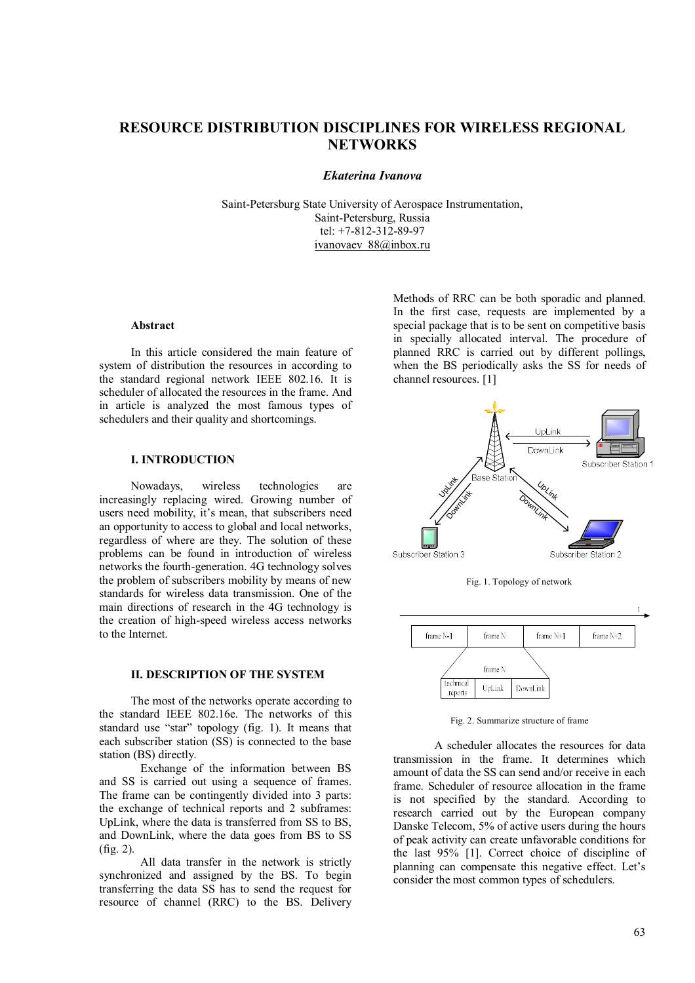# **RESOURCE DISTRIBUTION DISCIPLINES FOR WIRELESS REGIONAL NETWORKS**

# *Ekaterina Ivanova*

Saint-Petersburg State University of Aerospace Instrumentation, Saint-Petersburg, Russia tel: +7-812-312-89-97 ivanovaev 88@inbox.ru

#### **Abstract**

In this article considered the main feature of system of distribution the resources in according to the standard regional network IEEE 802.16. It is scheduler of allocated the resources in the frame. And in article is analyzed the most famous types of schedulers and their quality and shortcomings.

# **I. INTRODUCTION**

Nowadays, wireless technologies are increasingly replacing wired. Growing number of users need mobility, it's mean, that subscribers need an opportunity to access to global and local networks, regardless of where are they. The solution of these problems can be found in introduction of wireless networks the fourth-generation. 4G technology solves the problem of subscribers mobility by means of new standards for wireless data transmission. One of the main directions of research in the 4G technology is the creation of high-speed wireless access networks to the Internet.

## **II. DESCRIPTION OF THE SYSTEM**

The most of the networks operate according to the standard IEEE 802.16e. The networks of this standard use "star" topology (fig. 1). It means that each subscriber station (SS) is connected to the base station (BS) directly.

Exchange of the information between BS and SS is carried out using a sequence of frames. The frame can be contingently divided into 3 parts: the exchange of technical reports and 2 subframes: UpLink, where the data is transferred from SS to BS, and DownLink, where the data goes from BS to SS (fig. 2).

All data transfer in the network is strictly synchronized and assigned by the BS. To begin transferring the data SS has to send the request for resource of channel (RRC) to the BS. Delivery

Methods of RRC can be both sporadic and planned. In the first case, requests are implemented by a special package that is to be sent on competitive basis in specially allocated interval. The procedure of planned RRC is carried out by different pollings, when the BS periodically asks the SS for needs of channel resources. [1]



Fig. 1. Topology of network



Fig. 2. Summarize structure of frame

A scheduler allocates the resources for data transmission in the frame. It determines which amount of data the SS can send and/or receive in each frame. Scheduler of resource allocation in the frame is not specified by the standard. According to research carried out by the European company Danske Telecom, 5% of active users during the hours of peak activity can create unfavorable conditions for the last 95% [1]. Correct choice of discipline of planning can compensate this negative effect. Let's consider the most common types of schedulers.